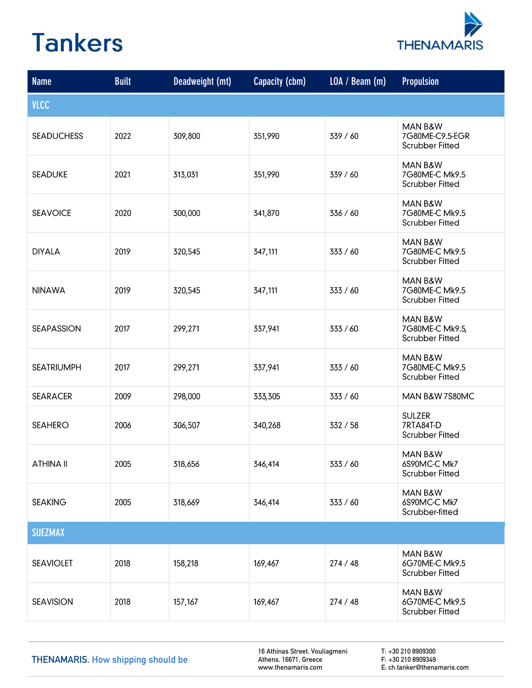

| <b>Name</b>       | <b>Built</b> | Deadweight (mt) | Capacity (cbm) | LOA / Beam (m) | <b>Propulsion</b>                                    |
|-------------------|--------------|-----------------|----------------|----------------|------------------------------------------------------|
| <b>VLCC</b>       |              |                 |                |                |                                                      |
| <b>SEADUCHESS</b> | 2022         | 309,800         | 351,990        | 339 / 60       | MAN B&W<br>7G80ME-C9.5-EGR<br><b>Scrubber Fitted</b> |
| <b>SEADUKE</b>    | 2021         | 313,031         | 351,990        | 339 / 60       | MAN B&W<br>7G80ME-C Mk9.5<br><b>Scrubber Fitted</b>  |
| <b>SEAVOICE</b>   | 2020         | 300,000         | 341,870        | 336 / 60       | MAN B&W<br>7G80ME-C Mk9.5<br><b>Scrubber Fitted</b>  |
| <b>DIYALA</b>     | 2019         | 320,545         | 347,111        | 333 / 60       | MAN B&W<br>7G80ME-C Mk9.5<br><b>Scrubber Fitted</b>  |
| <b>NINAWA</b>     | 2019         | 320,545         | 347,111        | 333 / 60       | MAN B&W<br>7G80ME-C Mk9.5<br><b>Scrubber Fitted</b>  |
| <b>SEAPASSION</b> | 2017         | 299,271         | 337,941        | 333 / 60       | MAN B&W<br>7G80ME-C Mk9.5,<br><b>Scrubber Fitted</b> |
| <b>SEATRIUMPH</b> | 2017         | 299,271         | 337,941        | 333 / 60       | MAN B&W<br>7G80ME-C Mk9.5<br><b>Scrubber Fitted</b>  |
| <b>SEARACER</b>   | 2009         | 298,000         | 333,305        | 333 / 60       | MAN B&W 7S80MC                                       |
| <b>SEAHERO</b>    | 2006         | 306,507         | 340,268        | 332 / 58       | <b>SULZER</b><br>7RTA84T-D<br><b>Scrubber Fitted</b> |
| <b>ATHINA II</b>  | 2005         | 318,656         | 346,414        | 333 / 60       | MAN B&W<br>6S90MC-C Mk7<br><b>Scrubber Fitted</b>    |
| <b>SEAKING</b>    | 2005         | 318,669         | 346,414        | 333 / 60       | MAN B&W<br>6S90MC-C Mk7<br>Scrubber-fitted           |
| <b>SUEZMAX</b>    |              |                 |                |                |                                                      |
| <b>SEAVIOLET</b>  | 2018         | 158,218         | 169,467        | 274/48         | MAN B&W<br>6G70ME-C Mk9.5<br><b>Scrubber Fitted</b>  |
| <b>SEAVISION</b>  | 2018         | 157,167         | 169,467        | 274/48         | MAN B&W<br>6G70ME-C Mk9.5<br><b>Scrubber Fitted</b>  |

THENAMARIS. How shipping should be

16 Athinas Street, Vouliagmeni Athens, 16671, Greece www.thenamaris.com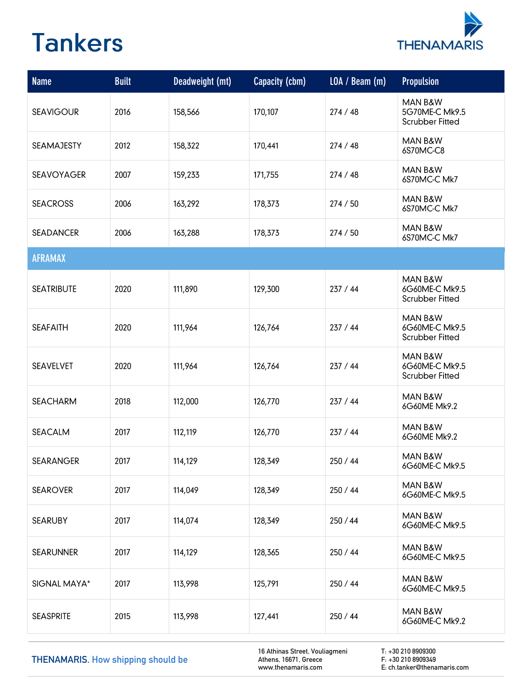

| <b>Name</b>       | <b>Built</b> | Deadweight (mt) | Capacity (cbm) | LOA / Beam (m) | <b>Propulsion</b>                                   |
|-------------------|--------------|-----------------|----------------|----------------|-----------------------------------------------------|
| <b>SEAVIGOUR</b>  | 2016         | 158,566         | 170,107        | 274/48         | MAN B&W<br>5G70ME-C Mk9.5<br><b>Scrubber Fitted</b> |
| <b>SEAMAJESTY</b> | 2012         | 158,322         | 170,441        | 274 / 48       | MAN B&W<br>6S70MC-C8                                |
| <b>SEAVOYAGER</b> | 2007         | 159,233         | 171,755        | 274/48         | MAN B&W<br>6S70MC-C Mk7                             |
| <b>SEACROSS</b>   | 2006         | 163,292         | 178,373        | 274 / 50       | MAN B&W<br>6S70MC-C Mk7                             |
| <b>SEADANCER</b>  | 2006         | 163,288         | 178,373        | 274 / 50       | MAN B&W<br>6S70MC-C Mk7                             |
| <b>AFRAMAX</b>    |              |                 |                |                |                                                     |
| <b>SEATRIBUTE</b> | 2020         | 111,890         | 129,300        | 237 / 44       | MAN B&W<br>6G60ME-C Mk9.5<br><b>Scrubber Fitted</b> |
| <b>SEAFAITH</b>   | 2020         | 111,964         | 126,764        | 237 / 44       | MAN B&W<br>6G60ME-C Mk9.5<br><b>Scrubber Fitted</b> |
| <b>SEAVELVET</b>  | 2020         | 111,964         | 126,764        | 237 / 44       | MAN B&W<br>6G60ME-C Mk9.5<br><b>Scrubber Fitted</b> |
| <b>SEACHARM</b>   | 2018         | 112,000         | 126,770        | 237 / 44       | MAN B&W<br>6G60ME Mk9.2                             |
| <b>SEACALM</b>    | 2017         | 112,119         | 126,770        | 237 / 44       | MAN B&W<br>6G60ME Mk9.2                             |
| <b>SEARANGER</b>  | 2017         | 114,129         | 128,349        | 250 / 44       | MAN B&W<br>6G60ME-C Mk9.5                           |
| <b>SEAROVER</b>   | 2017         | 114,049         | 128,349        | 250 / 44       | MAN B&W<br>6G60ME-C Mk9.5                           |
| <b>SEARUBY</b>    | 2017         | 114,074         | 128,349        | 250 / 44       | MAN B&W<br>6G60ME-C Mk9.5                           |
| <b>SEARUNNER</b>  | 2017         | 114,129         | 128,365        | 250 / 44       | MAN B&W<br>6G60ME-C Mk9.5                           |
| SIGNAL MAYA*      | 2017         | 113,998         | 125,791        | 250 / 44       | MAN B&W<br>6G60ME-C Mk9.5                           |
| <b>SEASPRITE</b>  | 2015         | 113,998         | 127,441        | 250 / 44       | MAN B&W<br>6G60ME-C Mk9.2                           |

THENAMARIS. How shipping should be

16 Athinas Street, Vouliagmeni Athens, 16671, Greece www.thenamaris.com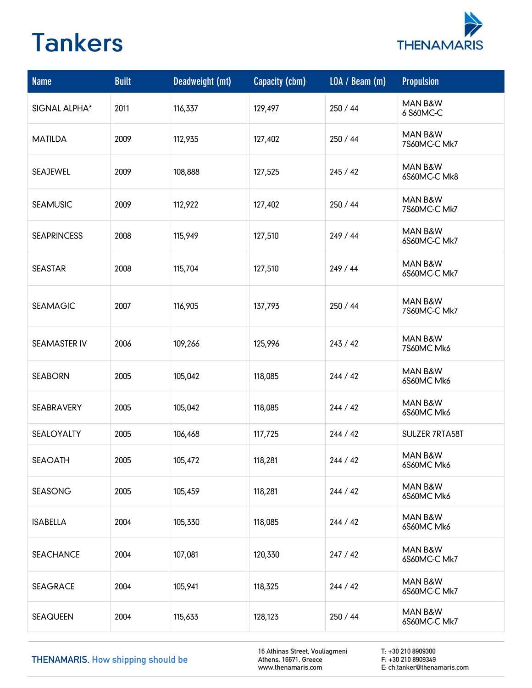

| <b>Name</b>         | <b>Built</b> | Deadweight (mt) | Capacity (cbm) | LOA / Beam (m) | <b>Propulsion</b>       |
|---------------------|--------------|-----------------|----------------|----------------|-------------------------|
| SIGNAL ALPHA*       | 2011         | 116,337         | 129,497        | 250 / 44       | MAN B&W<br>6 S60MC-C    |
| <b>MATILDA</b>      | 2009         | 112,935         | 127,402        | 250 / 44       | MAN B&W<br>7S60MC-C Mk7 |
| SEAJEWEL            | 2009         | 108,888         | 127,525        | 245/42         | MAN B&W<br>6S60MC-C Mk8 |
| <b>SEAMUSIC</b>     | 2009         | 112,922         | 127,402        | 250 / 44       | MAN B&W<br>7S60MC-C Mk7 |
| <b>SEAPRINCESS</b>  | 2008         | 115,949         | 127,510        | 249 / 44       | MAN B&W<br>6S60MC-C Mk7 |
| <b>SEASTAR</b>      | 2008         | 115,704         | 127,510        | 249 / 44       | MAN B&W<br>6S60MC-C Mk7 |
| <b>SEAMAGIC</b>     | 2007         | 116,905         | 137,793        | 250 / 44       | MAN B&W<br>7S60MC-C Mk7 |
| <b>SEAMASTER IV</b> | 2006         | 109,266         | 125,996        | 243 / 42       | MAN B&W<br>7S60MC Mk6   |
| <b>SEABORN</b>      | 2005         | 105,042         | 118,085        | 244 / 42       | MAN B&W<br>6S60MC Mk6   |
| SEABRAVERY          | 2005         | 105,042         | 118,085        | 244 / 42       | MAN B&W<br>6S60MC Mk6   |
| SEALOYALTY          | 2005         | 106,468         | 117,725        | 244 / 42       | SULZER 7RTA58T          |
| <b>SEAOATH</b>      | 2005         | 105,472         | 118,281        | 244 / 42       | MAN B&W<br>6S60MC Mk6   |
| <b>SEASONG</b>      | 2005         | 105,459         | 118,281        | 244 / 42       | MAN B&W<br>6S60MC Mk6   |
| <b>ISABELLA</b>     | 2004         | 105,330         | 118,085        | 244 / 42       | MAN B&W<br>6S60MC Mk6   |
| <b>SEACHANCE</b>    | 2004         | 107,081         | 120,330        | 247/42         | MAN B&W<br>6S60MC-C Mk7 |
| <b>SEAGRACE</b>     | 2004         | 105,941         | 118,325        | 244 / 42       | MAN B&W<br>6S60MC-C Mk7 |
| <b>SEAQUEEN</b>     | 2004         | 115,633         | 128,123        | 250 / 44       | MAN B&W<br>6S60MC-C Mk7 |

THENAMARIS. How shipping should be

16 Athinas Street, Vouliagmeni Athens, 16671, Greece www.thenamaris.com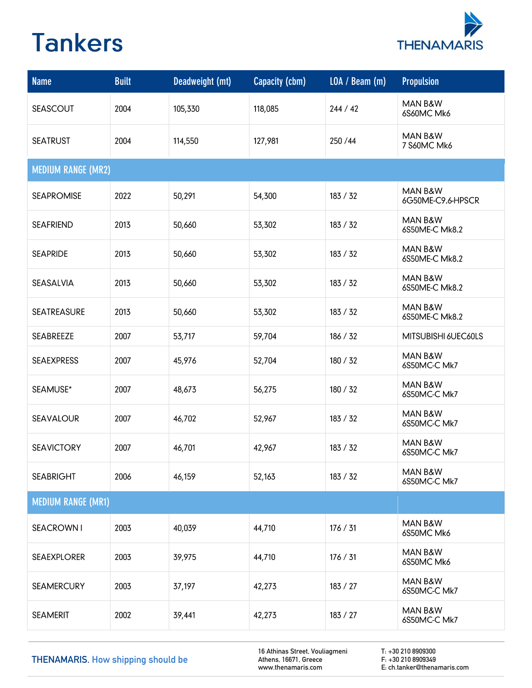

| <b>Name</b>               | <b>Built</b> | Deadweight (mt) | Capacity (cbm) | LOA / Beam (m) | <b>Propulsion</b>            |
|---------------------------|--------------|-----------------|----------------|----------------|------------------------------|
| <b>SEASCOUT</b>           | 2004         | 105,330         | 118,085        | 244 / 42       | MAN B&W<br>6S60MC Mk6        |
| <b>SEATRUST</b>           | 2004         | 114,550         | 127,981        | 250/44         | MAN B&W<br>7 S60MC Mk6       |
| <b>MEDIUM RANGE (MR2)</b> |              |                 |                |                |                              |
| <b>SEAPROMISE</b>         | 2022         | 50,291          | 54,300         | 183 / 32       | MAN B&W<br>6G50ME-C9.6-HPSCR |
| <b>SEAFRIEND</b>          | 2013         | 50,660          | 53,302         | 183 / 32       | MAN B&W<br>6S50ME-C Mk8.2    |
| <b>SEAPRIDE</b>           | 2013         | 50,660          | 53,302         | 183 / 32       | MAN B&W<br>6S50ME-C Mk8.2    |
| SEASALVIA                 | 2013         | 50,660          | 53,302         | 183 / 32       | MAN B&W<br>6S50ME-C Mk8.2    |
| <b>SEATREASURE</b>        | 2013         | 50,660          | 53,302         | 183 / 32       | MAN B&W<br>6S50ME-C Mk8.2    |
| SEABREEZE                 | 2007         | 53,717          | 59,704         | 186 / 32       | MITSUBISHI 6UEC60LS          |
| <b>SEAEXPRESS</b>         | 2007         | 45,976          | 52,704         | 180 / 32       | MAN B&W<br>6S50MC-C Mk7      |
| SEAMUSE*                  | 2007         | 48,673          | 56,275         | 180 / 32       | MAN B&W<br>6S50MC-C Mk7      |
| <b>SEAVALOUR</b>          | 2007         | 46,702          | 52,967         | 183 / 32       | MAN B&W<br>6S50MC-C Mk7      |
| <b>SEAVICTORY</b>         | 2007         | 46,701          | 42,967         | 183 / 32       | MAN B&W<br>6S50MC-C Mk7      |
| <b>SEABRIGHT</b>          | 2006         | 46,159          | 52,163         | 183 / 32       | MAN B&W<br>6S50MC-C Mk7      |
| <b>MEDIUM RANGE (MR1)</b> |              |                 |                |                |                              |
| <b>SEACROWN1</b>          | 2003         | 40,039          | 44,710         | 176 / 31       | MAN B&W<br>6S50MC Mk6        |
| <b>SEAEXPLORER</b>        | 2003         | 39,975          | 44,710         | 176 / 31       | MAN B&W<br>6S50MC Mk6        |
| <b>SEAMERCURY</b>         | 2003         | 37,197          | 42,273         | 183 / 27       | MAN B&W<br>6S50MC-C Mk7      |
| <b>SEAMERIT</b>           | 2002         | 39,441          | 42,273         | 183 / 27       | MAN B&W<br>6S50MC-C Mk7      |

THENAMARIS. How shipping should be

16 Athinas Street, Vouliagmeni Athens, 16671, Greece www.thenamaris.com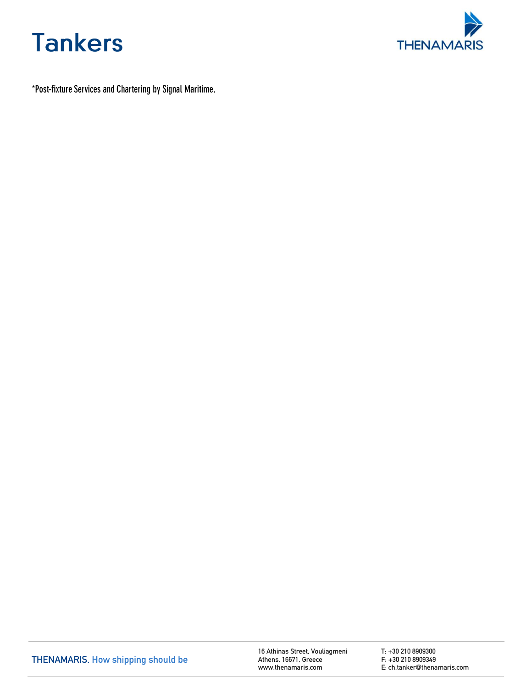



\*Post-fixture Services and Chartering by Signal Maritime.

16 Athinas Street, Vouliagmeni Athens , 16671, Greece www.thenamaris.com